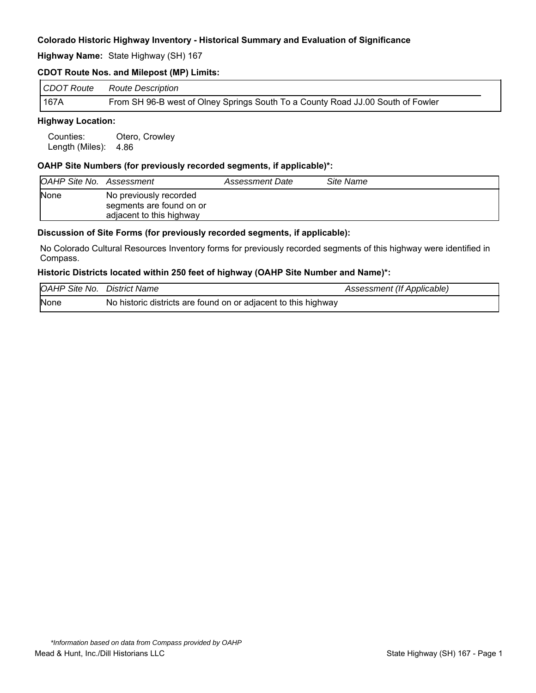**Highway Name:** State Highway (SH) 167

## **CDOT Route Nos. and Milepost (MP) Limits:**

| CDOT Route | Route Description                                                               |
|------------|---------------------------------------------------------------------------------|
| 167A       | From SH 96-B west of Olney Springs South To a County Road JJ.00 South of Fowler |

# **Highway Location:**

Counties: Otero, Crowley Length (Miles): 4.86

### **OAHP Site Numbers (for previously recorded segments, if applicable)\*:**

| OAHP Site No. Assessment |                                                                                | Assessment Date | Site Name |
|--------------------------|--------------------------------------------------------------------------------|-----------------|-----------|
| <b>None</b>              | No previously recorded<br>segments are found on or<br>adjacent to this highway |                 |           |

### **Discussion of Site Forms (for previously recorded segments, if applicable):**

No Colorado Cultural Resources Inventory forms for previously recorded segments of this highway were identified in Compass.

#### **Historic Districts located within 250 feet of highway (OAHP Site Number and Name)\*:**

| <b>OAHP Site No. District Name</b> |                                                                | Assessment (If Applicable) |
|------------------------------------|----------------------------------------------------------------|----------------------------|
| None                               | No historic districts are found on or adjacent to this highway |                            |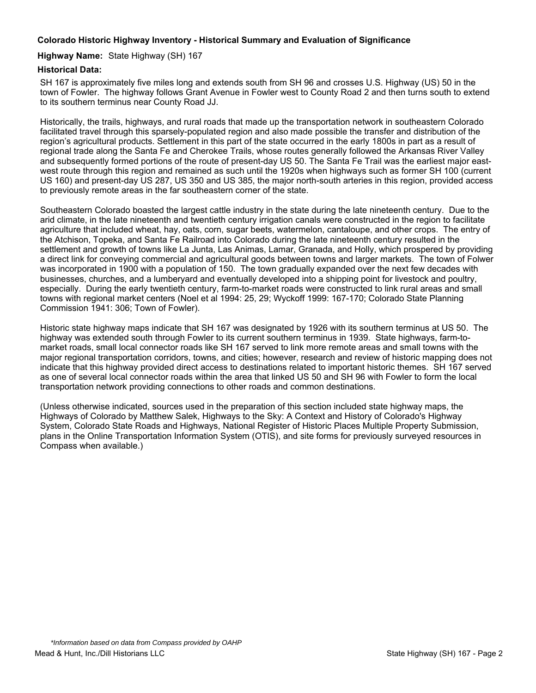### **Highway Name:** State Highway (SH) 167

# **Historical Data:**

SH 167 is approximately five miles long and extends south from SH 96 and crosses U.S. Highway (US) 50 in the town of Fowler. The highway follows Grant Avenue in Fowler west to County Road 2 and then turns south to extend to its southern terminus near County Road JJ.

Historically, the trails, highways, and rural roads that made up the transportation network in southeastern Colorado facilitated travel through this sparsely-populated region and also made possible the transfer and distribution of the region's agricultural products. Settlement in this part of the state occurred in the early 1800s in part as a result of regional trade along the Santa Fe and Cherokee Trails, whose routes generally followed the Arkansas River Valley and subsequently formed portions of the route of present-day US 50. The Santa Fe Trail was the earliest major eastwest route through this region and remained as such until the 1920s when highways such as former SH 100 (current US 160) and present-day US 287, US 350 and US 385, the major north-south arteries in this region, provided access to previously remote areas in the far southeastern corner of the state.

Southeastern Colorado boasted the largest cattle industry in the state during the late nineteenth century. Due to the arid climate, in the late nineteenth and twentieth century irrigation canals were constructed in the region to facilitate agriculture that included wheat, hay, oats, corn, sugar beets, watermelon, cantaloupe, and other crops. The entry of the Atchison, Topeka, and Santa Fe Railroad into Colorado during the late nineteenth century resulted in the settlement and growth of towns like La Junta, Las Animas, Lamar, Granada, and Holly, which prospered by providing a direct link for conveying commercial and agricultural goods between towns and larger markets. The town of Folwer was incorporated in 1900 with a population of 150. The town gradually expanded over the next few decades with businesses, churches, and a lumberyard and eventually developed into a shipping point for livestock and poultry, especially. During the early twentieth century, farm-to-market roads were constructed to link rural areas and small towns with regional market centers (Noel et al 1994: 25, 29; Wyckoff 1999: 167-170; Colorado State Planning Commission 1941: 306; Town of Fowler).

Historic state highway maps indicate that SH 167 was designated by 1926 with its southern terminus at US 50. The highway was extended south through Fowler to its current southern terminus in 1939. State highways, farm-tomarket roads, small local connector roads like SH 167 served to link more remote areas and small towns with the major regional transportation corridors, towns, and cities; however, research and review of historic mapping does not indicate that this highway provided direct access to destinations related to important historic themes. SH 167 served as one of several local connector roads within the area that linked US 50 and SH 96 with Fowler to form the local transportation network providing connections to other roads and common destinations.

(Unless otherwise indicated, sources used in the preparation of this section included state highway maps, the Highways of Colorado by Matthew Salek, Highways to the Sky: A Context and History of Colorado's Highway System, Colorado State Roads and Highways, National Register of Historic Places Multiple Property Submission, plans in the Online Transportation Information System (OTIS), and site forms for previously surveyed resources in Compass when available.)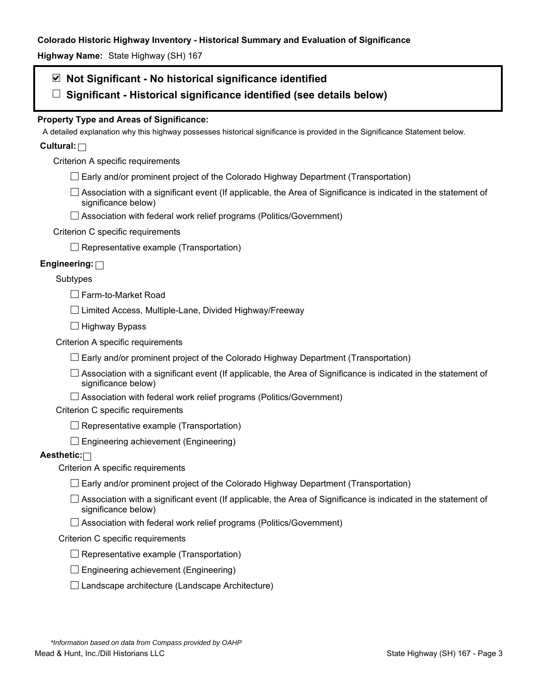**Highway Name:** State Highway (SH) 167

# **Not Significant - No historical significance identified**

**Significant - Historical significance identified (see details below)** 

# **Property Type and Areas of Significance:**

A detailed explanation why this highway possesses historical significance is provided in the Significance Statement below.

# **Cultural:**

Criterion A specific requirements

- $\Box$  Early and/or prominent project of the Colorado Highway Department (Transportation)
- $\Box$  Association with a significant event (If applicable, the Area of Significance is indicated in the statement of significance below)
- □ Association with federal work relief programs (Politics/Government)

# Criterion C specific requirements

 $\Box$  Representative example (Transportation)

# **Engineering:**

# Subtypes

□ Farm-to-Market Road

 $\Box$  Limited Access, Multiple-Lane, Divided Highway/Freeway

 $\Box$  Highway Bypass

Criterion A specific requirements

 $\Box$  Early and/or prominent project of the Colorado Highway Department (Transportation)

 $\Box$  Association with a significant event (If applicable, the Area of Significance is indicated in the statement of significance below)

 $\Box$  Association with federal work relief programs (Politics/Government)

Criterion C specific requirements

 $\Box$  Representative example (Transportation)

 $\Box$  Engineering achievement (Engineering)

# **Aesthetic:**

Criterion A specific requirements

- $\Box$  Early and/or prominent project of the Colorado Highway Department (Transportation)
- $\Box$  Association with a significant event (If applicable, the Area of Significance is indicated in the statement of significance below)
- $\Box$  Association with federal work relief programs (Politics/Government)

### Criterion C specific requirements

- $\Box$  Representative example (Transportation)
- $\square$  Engineering achievement (Engineering)
- $\square$  Landscape architecture (Landscape Architecture)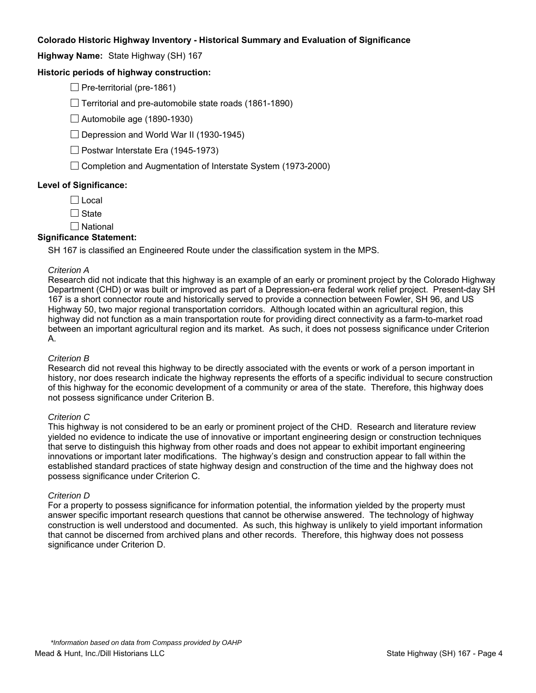**Highway Name:** State Highway (SH) 167

# **Historic periods of highway construction:**

 $\Box$  Pre-territorial (pre-1861)

 $\Box$  Territorial and pre-automobile state roads (1861-1890)

 $\Box$  Automobile age (1890-1930)

 $\Box$  Depression and World War II (1930-1945)

 $\Box$  Postwar Interstate Era (1945-1973)

 $\Box$  Completion and Augmentation of Interstate System (1973-2000)

### **Level of Significance:**

 $\Box$  Local

 $\Box$  State

 $\square$  National

### **Significance Statement:**

SH 167 is classified an Engineered Route under the classification system in the MPS.

#### *Criterion A*

Research did not indicate that this highway is an example of an early or prominent project by the Colorado Highway Department (CHD) or was built or improved as part of a Depression-era federal work relief project. Present-day SH 167 is a short connector route and historically served to provide a connection between Fowler, SH 96, and US Highway 50, two major regional transportation corridors. Although located within an agricultural region, this highway did not function as a main transportation route for providing direct connectivity as a farm-to-market road between an important agricultural region and its market. As such, it does not possess significance under Criterion A.

#### *Criterion B*

Research did not reveal this highway to be directly associated with the events or work of a person important in history, nor does research indicate the highway represents the efforts of a specific individual to secure construction of this highway for the economic development of a community or area of the state. Therefore, this highway does not possess significance under Criterion B.

#### *Criterion C*

This highway is not considered to be an early or prominent project of the CHD. Research and literature review yielded no evidence to indicate the use of innovative or important engineering design or construction techniques that serve to distinguish this highway from other roads and does not appear to exhibit important engineering innovations or important later modifications. The highway's design and construction appear to fall within the established standard practices of state highway design and construction of the time and the highway does not possess significance under Criterion C.

#### *Criterion D*

For a property to possess significance for information potential, the information yielded by the property must answer specific important research questions that cannot be otherwise answered. The technology of highway construction is well understood and documented. As such, this highway is unlikely to yield important information that cannot be discerned from archived plans and other records. Therefore, this highway does not possess significance under Criterion D.